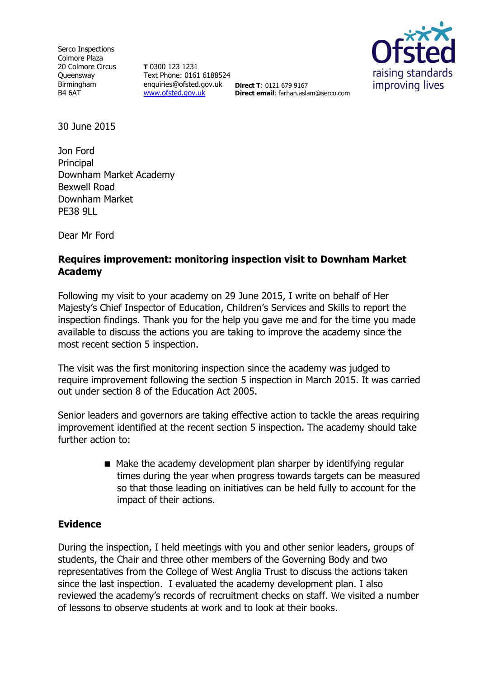Serco Inspections Colmore Plaza 20 Colmore Circus **Oueensway** Birmingham B4 6AT

**T** 0300 123 1231 Text Phone: 0161 6188524 enquiries@ofsted.gov.uk **Direct T**: 0121 679 9167 [www.ofsted.gov.uk](http://www.ofsted.gov.uk/)



**Direct email**: farhan.aslam@serco.com

30 June 2015

Jon Ford Principal Downham Market Academy Bexwell Road Downham Market PE38 9LL

Dear Mr Ford

## **Requires improvement: monitoring inspection visit to Downham Market Academy**

Following my visit to your academy on 29 June 2015, I write on behalf of Her Majesty's Chief Inspector of Education, Children's Services and Skills to report the inspection findings. Thank you for the help you gave me and for the time you made available to discuss the actions you are taking to improve the academy since the most recent section 5 inspection.

The visit was the first monitoring inspection since the academy was judged to require improvement following the section 5 inspection in March 2015. It was carried out under section 8 of the Education Act 2005.

Senior leaders and governors are taking effective action to tackle the areas requiring improvement identified at the recent section 5 inspection. The academy should take further action to:

> ■ Make the academy development plan sharper by identifying regular times during the year when progress towards targets can be measured so that those leading on initiatives can be held fully to account for the impact of their actions.

## **Evidence**

During the inspection, I held meetings with you and other senior leaders, groups of students, the Chair and three other members of the Governing Body and two representatives from the College of West Anglia Trust to discuss the actions taken since the last inspection. I evaluated the academy development plan. I also reviewed the academy's records of recruitment checks on staff. We visited a number of lessons to observe students at work and to look at their books.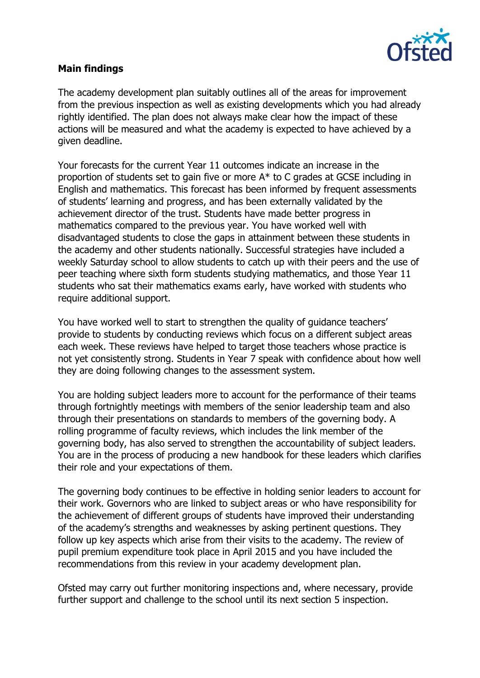

## **Main findings**

The academy development plan suitably outlines all of the areas for improvement from the previous inspection as well as existing developments which you had already rightly identified. The plan does not always make clear how the impact of these actions will be measured and what the academy is expected to have achieved by a given deadline.

Your forecasts for the current Year 11 outcomes indicate an increase in the proportion of students set to gain five or more A\* to C grades at GCSE including in English and mathematics. This forecast has been informed by frequent assessments of students' learning and progress, and has been externally validated by the achievement director of the trust. Students have made better progress in mathematics compared to the previous year. You have worked well with disadvantaged students to close the gaps in attainment between these students in the academy and other students nationally. Successful strategies have included a weekly Saturday school to allow students to catch up with their peers and the use of peer teaching where sixth form students studying mathematics, and those Year 11 students who sat their mathematics exams early, have worked with students who require additional support.

You have worked well to start to strengthen the quality of quidance teachers' provide to students by conducting reviews which focus on a different subject areas each week. These reviews have helped to target those teachers whose practice is not yet consistently strong. Students in Year 7 speak with confidence about how well they are doing following changes to the assessment system.

You are holding subject leaders more to account for the performance of their teams through fortnightly meetings with members of the senior leadership team and also through their presentations on standards to members of the governing body. A rolling programme of faculty reviews, which includes the link member of the governing body, has also served to strengthen the accountability of subject leaders. You are in the process of producing a new handbook for these leaders which clarifies their role and your expectations of them.

The governing body continues to be effective in holding senior leaders to account for their work. Governors who are linked to subject areas or who have responsibility for the achievement of different groups of students have improved their understanding of the academy's strengths and weaknesses by asking pertinent questions. They follow up key aspects which arise from their visits to the academy. The review of pupil premium expenditure took place in April 2015 and you have included the recommendations from this review in your academy development plan.

Ofsted may carry out further monitoring inspections and, where necessary, provide further support and challenge to the school until its next section 5 inspection.